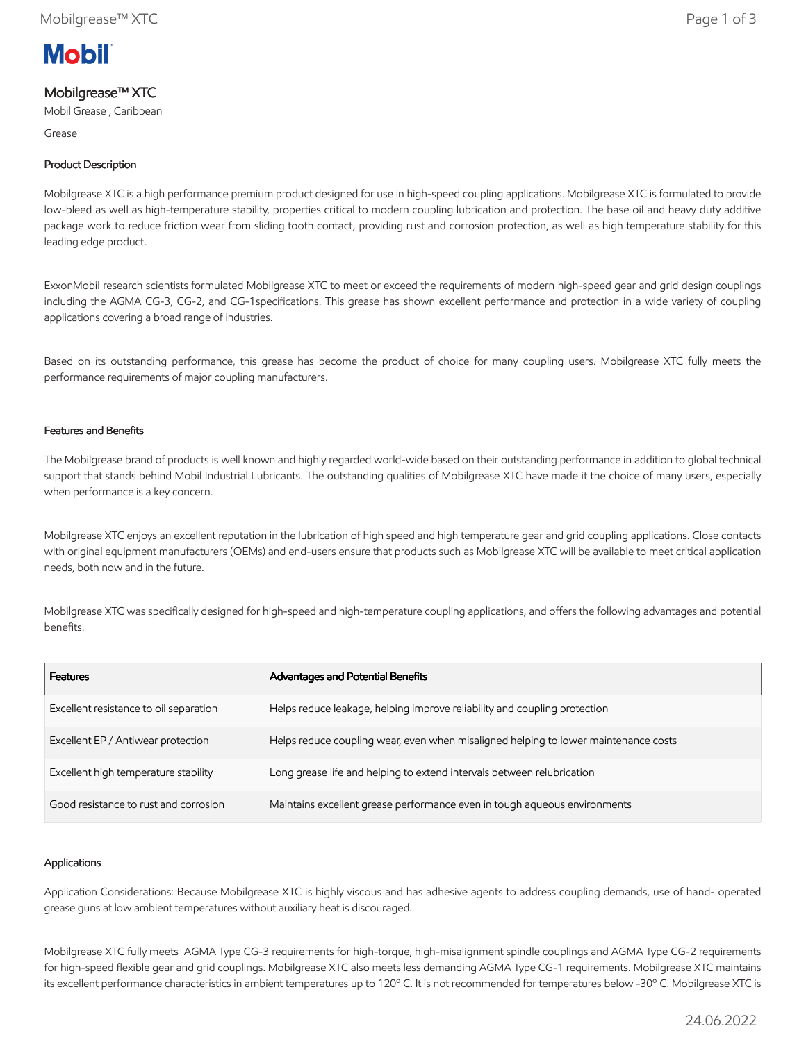

# Mobilgrease™ XTC

Mobil Grease , Caribbean

Grease

## Product Description

Mobilgrease XTC is a high performance premium product designed for use in high-speed coupling applications. Mobilgrease XTC is formulated to provide low-bleed as well as high-temperature stability, properties critical to modern coupling lubrication and protection. The base oil and heavy duty additive package work to reduce friction wear from sliding tooth contact, providing rust and corrosion protection, as well as high temperature stability for this leading edge product.

ExxonMobil research scientists formulated Mobilgrease XTC to meet or exceed the requirements of modern high-speed gear and grid design couplings including the AGMA CG-3, CG-2, and CG-1specifications. This grease has shown excellent performance and protection in a wide variety of coupling applications covering a broad range of industries.

Based on its outstanding performance, this grease has become the product of choice for many coupling users. Mobilgrease XTC fully meets the performance requirements of major coupling manufacturers.

### Features and Benefits

The Mobilgrease brand of products is well known and highly regarded world-wide based on their outstanding performance in addition to global technical support that stands behind Mobil Industrial Lubricants. The outstanding qualities of Mobilgrease XTC have made it the choice of many users, especially when performance is a key concern.

Mobilgrease XTC enjoys an excellent reputation in the lubrication of high speed and high temperature gear and grid coupling applications. Close contacts with original equipment manufacturers (OEMs) and end-users ensure that products such as Mobilgrease XTC will be available to meet critical application needs, both now and in the future.

Mobilgrease XTC was specifically designed for high-speed and high-temperature coupling applications, and offers the following advantages and potential benefits.

| <b>Features</b>                        | Advantages and Potential Benefits                                                   |
|----------------------------------------|-------------------------------------------------------------------------------------|
| Excellent resistance to oil separation | Helps reduce leakage, helping improve reliability and coupling protection           |
| Excellent EP / Antiwear protection     | Helps reduce coupling wear, even when misaligned helping to lower maintenance costs |
| Excellent high temperature stability   | Long grease life and helping to extend intervals between relubrication              |
| Good resistance to rust and corrosion  | Maintains excellent grease performance even in tough aqueous environments           |

#### Applications

Application Considerations: Because Mobilgrease XTC is highly viscous and has adhesive agents to address coupling demands, use of hand- operated grease guns at low ambient temperatures without auxiliary heat is discouraged.

Mobilgrease XTC fully meets AGMA Type CG-3 requirements for high-torque, high-misalignment spindle couplings and AGMA Type CG-2 requirements for high-speed flexible gear and grid couplings. Mobilgrease XTC also meets less demanding AGMA Type CG-1 requirements. Mobilgrease XTC maintains its excellent performance characteristics in ambient temperatures up to 120º C. It is not recommended for temperatures below -30º C. Mobilgrease XTC is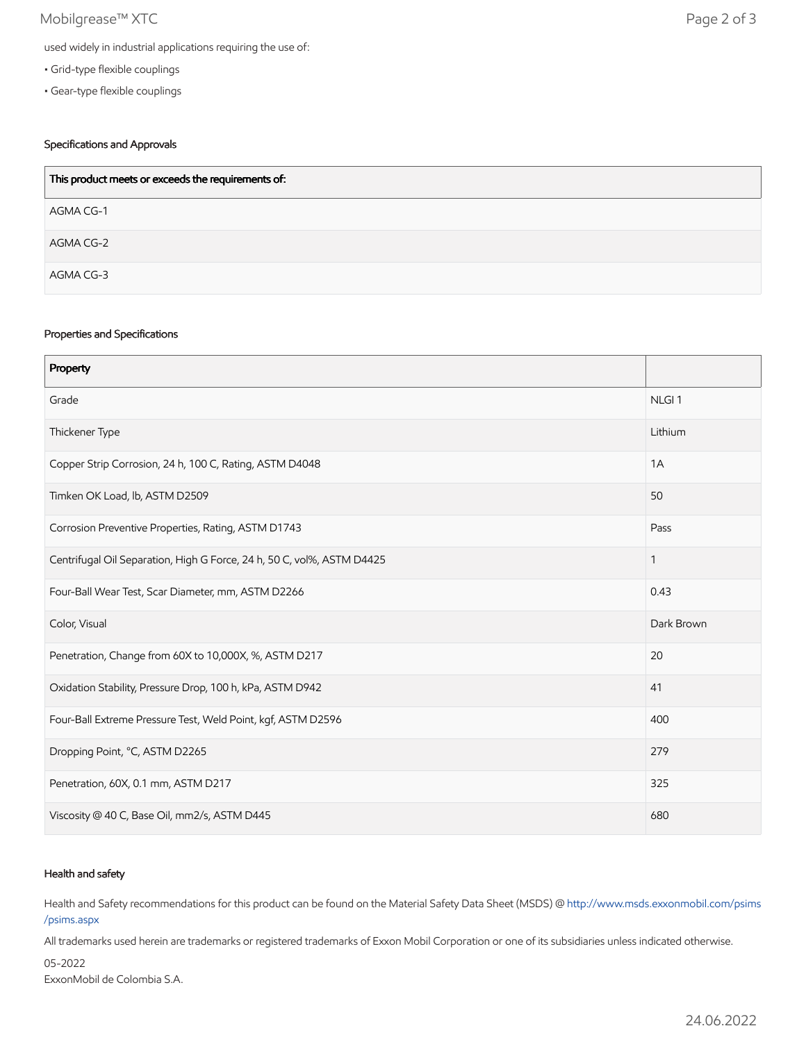## Mobilgrease™ XTC Page 2 of 3

- Grid-type flexible couplings
- Gear-type flexible couplings

## Specifications and Approvals

| This product meets or exceeds the requirements of: |  |
|----------------------------------------------------|--|
| AGMA CG-1                                          |  |
| AGMA CG-2                                          |  |
| AGMA CG-3                                          |  |

### Properties and Specifications

| Property                                                               |                   |
|------------------------------------------------------------------------|-------------------|
| Grade                                                                  | NLGI <sub>1</sub> |
| Thickener Type                                                         | Lithium           |
| Copper Strip Corrosion, 24 h, 100 C, Rating, ASTM D4048                | 1A                |
| Timken OK Load, lb, ASTM D2509                                         | 50                |
| Corrosion Preventive Properties, Rating, ASTM D1743                    | Pass              |
| Centrifugal Oil Separation, High G Force, 24 h, 50 C, vol%, ASTM D4425 | $\mathbf{1}$      |
| Four-Ball Wear Test, Scar Diameter, mm, ASTM D2266                     | 0.43              |
| Color, Visual                                                          | Dark Brown        |
| Penetration, Change from 60X to 10,000X, %, ASTM D217                  | 20                |
| Oxidation Stability, Pressure Drop, 100 h, kPa, ASTM D942              | 41                |
| Four-Ball Extreme Pressure Test, Weld Point, kgf, ASTM D2596           | 400               |
| Dropping Point, °C, ASTM D2265                                         | 279               |
| Penetration, 60X, 0.1 mm, ASTM D217                                    | 325               |
| Viscosity @ 40 C, Base Oil, mm2/s, ASTM D445                           | 680               |

### Health and safety

Health and Safety recommendations for this product can be found on the Material Safety Data Sheet (MSDS) @ [http://www.msds.exxonmobil.com/psims](http://www.msds.exxonmobil.com/psims/psims.aspx) /psims.aspx

All trademarks used herein are trademarks or registered trademarks of Exxon Mobil Corporation or one of its subsidiaries unless indicated otherwise.

05-2022

ExxonMobil de Colombia S.A.